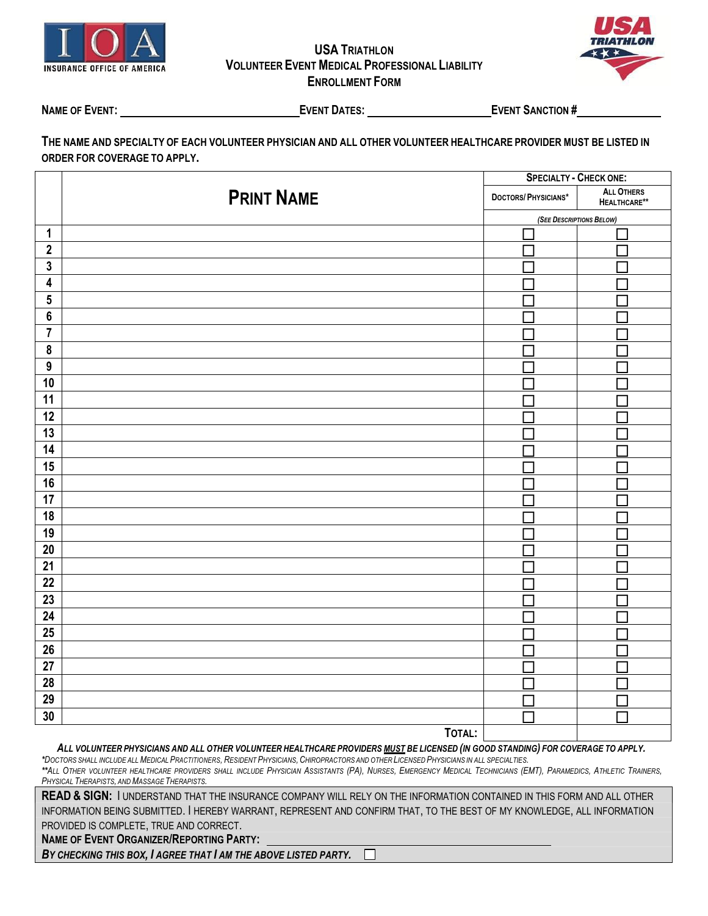

## **USA TRIATHLON VOLUNTEER EVENTMEDICAL PROFESSIONAL LIABILITY ENROLLMENT FORM**



**NAME OF EVENT: EVENT DATES: EVENT SANCTION #**

THE NAME AND SPECIALTY OF EACH VOLUNTEER PHYSICIAN AND ALL OTHER VOLUNTEER HEALTHCARE PROVIDER MUST BE LISTED IN **ORDER FOR COVERAGE TO APPLY.**

|                         |                   | <b>SPECIALTY - CHECK ONE:</b> |                                   |  |
|-------------------------|-------------------|-------------------------------|-----------------------------------|--|
|                         | <b>PRINT NAME</b> | DOCTORS/PHYSICIANS*           | <b>ALL OTHERS</b><br>HEALTHCARE** |  |
|                         |                   | (SEE DESCRIPTIONS BELOW)      |                                   |  |
| $\mathbf{1}$            |                   |                               |                                   |  |
| $\mathbf{2}$            |                   |                               |                                   |  |
| $\mathbf{3}$            |                   |                               |                                   |  |
| $\overline{\mathbf{4}}$ |                   |                               |                                   |  |
| $5\phantom{a}$          |                   |                               |                                   |  |
| $\boldsymbol{6}$        |                   |                               |                                   |  |
| $\overline{7}$          |                   |                               |                                   |  |
| $\pmb{8}$               |                   |                               |                                   |  |
| $\overline{9}$          |                   |                               |                                   |  |
| 10                      |                   |                               |                                   |  |
| 11                      |                   |                               |                                   |  |
| $\overline{12}$         |                   |                               |                                   |  |
| 13                      |                   |                               |                                   |  |
| 14                      |                   |                               |                                   |  |
| 15                      |                   |                               |                                   |  |
| 16                      |                   |                               |                                   |  |
| $\overline{17}$         |                   |                               |                                   |  |
| 18                      |                   |                               |                                   |  |
| 19                      |                   |                               |                                   |  |
| $20\,$                  |                   |                               |                                   |  |
| $\overline{21}$         |                   |                               |                                   |  |
| $\overline{22}$         |                   |                               |                                   |  |
| 23                      |                   |                               |                                   |  |
| ${\bf 24}$              |                   |                               |                                   |  |
| $\overline{25}$         |                   |                               |                                   |  |
| 26                      |                   |                               |                                   |  |
| $\overline{27}$         |                   |                               |                                   |  |
| $\overline{28}$         |                   |                               |                                   |  |
| 29                      |                   | Г                             |                                   |  |
| 30                      |                   | ⊓                             |                                   |  |
|                         | TOTAL:            |                               |                                   |  |

ALL VOLUNTEER PHYSICIANS AND ALL OTHER VOLUNTEER HEALTHCARE PROVIDERS MUST BE LICENSED (IN GOOD STANDING) FOR COVERAGE TO APPLY.

\*DOCTORS SHALL INCLUDE ALL MEDICAL PRACTITIONERS, RESIDENT PHYSICIANS, CHIROPRACTORS AND OTHER LICENSED PHYSICIANS IN ALL SPECIALTIES. \*\*ALL OTHER VOLUNTEER HEALTHCARE PROVIDERS SHALL INCLUDE PHYSICIAN ASSISTANTS (PA), NURSES, EMERGENCY MEDICAL TECHNICIANS (EMT), PARAMEDICS, ATHLETIC TRAINERS, *PHYSICAL THERAPISTS, ANDMASSAGE THERAPISTS.*

**READ & SIGN:** I UNDERSTAND THAT THE INSURANCE COMPANY WILL RELY ON THE INFORMATION CONTAINED IN THIS FORM AND ALL OTHER INFORMATION BEING SUBMITTED. I HEREBY WARRANT, REPRESENT AND CONFIRM THAT, TO THE BEST OF MY KNOWLEDGE, ALL INFORMATION PROVIDED IS COMPLETE, TRUE AND CORRECT.

**NAME OF EVENT ORGANIZER/REPORTING PARTY:** 

*BY CHECKING THIS BOX, I AGREE THAT I AM THE ABOVE LISTED PARTY.*